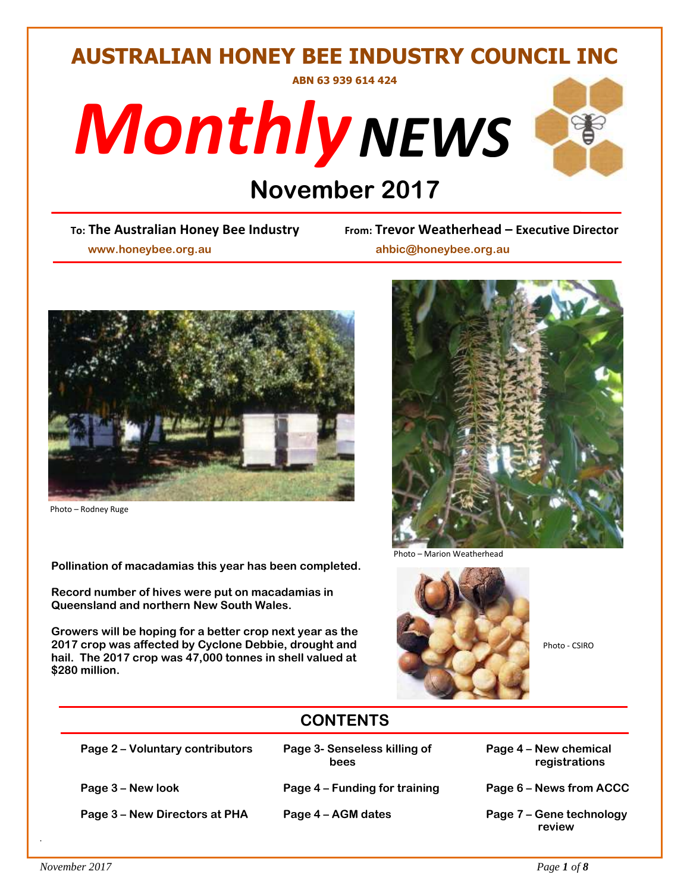# **AUSTRALIAN HONEY BEE INDUSTRY COUNCIL INC**

**ABN 63 939 614 424**





# **DRIANGER 1996**<br> **DRIANGER DRIANGER TO BOOT APPENDICAT PROPERTY**

 **www.honeybee.org.au ahbic@honeybee.org.au**

**To: The Australian Honey Bee Industry From: Trevor Weatherhead – Executive Director**



Photo – Rodney Ruge

 **Pollination of macadamias this year has been completed.**

 **Record number of hives were put on macadamias in Queensland and northern New South Wales.** 

 **Growers will be hoping for a better crop next year as the 2017 crop was affected by Cyclone Debbie, drought and <br>
Photo - CSIRO hail. The 2017 crop was 47,000 tonnes in shell valued at \$280 million.** 



Photo – Marion Weatherhead



# **CONTENTS**

**Page 2 – Voluntary contributors Page 3- Senseless killing of Page 4 – New chemical** 

**Page 3 – New Directors at PHA Page 4 – AGM dates Page 7 – Gene technology** 

- **Page 3 – New look Page 4 – Funding for training Page 6 – News from ACCC**
	-
- **bees** registrations
	-
	- **review**

*.*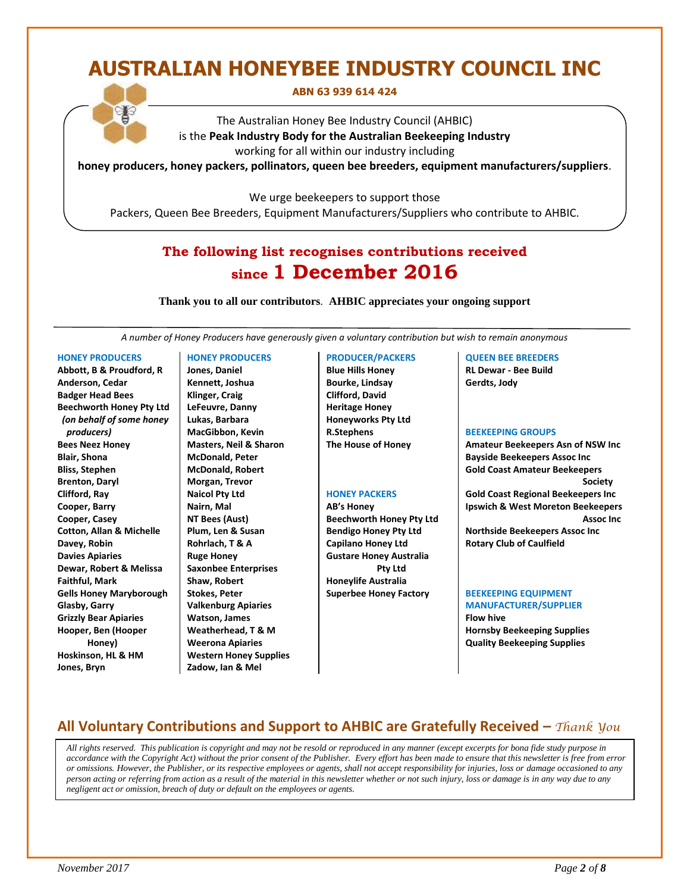# **AUSTRALIAN HONEYBEE INDUSTRY COUNCIL INC**

**ABN 63 939 614 424**

The Australian Honey Bee Industry Council (AHBIC) is the **Peak Industry Body for the Australian Beekeeping Industry** working for all within our industry including

**honey producers, honey packers, pollinators, queen bee breeders, equipment manufacturers/suppliers**.

We urge beekeepers to support those

Packers, Queen Bee Breeders, Equipment Manufacturers/Suppliers who contribute to AHBIC.

# **The following list recognises contributions received since 1 December 2016**

**Thank you to all our contributors***.* **AHBIC appreciates your ongoing support**

*A number of Honey Producers have generously given a voluntary contribution but wish to remain anonymous*

#### **HONEY PRODUCERS**

**Abbott, B & Proudford, R Anderson, Cedar Badger Head Bees Beechworth Honey Pty Ltd** *(on behalf of some honey producers)* **Bees Neez Honey Blair, Shona Bliss, Stephen Brenton, Daryl Clifford, Ray Cooper, Barry Cooper, Casey Cotton, Allan & Michelle Davey, Robin Davies Apiaries Dewar, Robert & Melissa Faithful, Mark Gells Honey Maryborough Glasby, Garry Grizzly Bear Apiaries Hooper, Ben (Hooper Honey) Hoskinson, HL & HM Jones, Bryn**

#### **HONEY PRODUCERS**

**Jones, Daniel Kennett, Joshua Klinger, Craig LeFeuvre, Danny Lukas, Barbara MacGibbon, Kevin Masters, Neil & Sharon McDonald, Peter McDonald, Robert Morgan, Trevor Naicol Pty Ltd Nairn, Mal NT Bees (Aust) Plum, Len & Susan Rohrlach, T & A Ruge Honey Saxonbee Enterprises Shaw, Robert Stokes, Peter Valkenburg Apiaries Watson, James Weatherhead, T & M Weerona Apiaries Western Honey Supplies Zadow, Ian & Mel**

#### **PRODUCER/PACKERS**

**Blue Hills Honey Bourke, Lindsay Clifford, David Heritage Honey Honeyworks Pty Ltd R.Stephens The House of Honey**

#### **HONEY PACKERS**

**AB's Honey Beechworth Honey Pty Ltd Bendigo Honey Pty Ltd Capilano Honey Ltd Gustare Honey Australia Pty Ltd Honeylife Australia Superbee Honey Factory**

#### **QUEEN BEE BREEDERS RL Dewar - Bee Build**

**Gerdts, Jody**

#### **BEEKEEPING GROUPS**

**Amateur Beekeepers Asn of NSW Inc Bayside Beekeepers Assoc Inc Gold Coast Amateur Beekeepers Society Gold Coast Regional Beekeepers Inc Ipswich & West Moreton Beekeepers Assoc Inc Northside Beekeepers Assoc Inc**

**Rotary Club of Caulfield** 

#### **BEEKEEPING EQUIPMENT**

**MANUFACTURER/SUPPLIER Flow hive Hornsby Beekeeping Supplies Quality Beekeeping Supplies**

# **All Voluntary Contributions and Support to AHBIC are Gratefully Received –** *Thank You*

 *All rights reserved. This publication is copyright and may not be resold or reproduced in any manner (except excerpts for bona fide study purpose in accordance with the Copyright Act) without the prior consent of the Publisher. Every effort has been made to ensure that this newsletter is free from error or omissions. However, the Publisher, or its respective employees or agents, shall not accept responsibility for injuries, loss or damage occasioned to any person acting or referring from action as a result of the material in this newsletter whether or not such injury, loss or damage is in any way due to any negligent act or omission, breach of duty or default on the employees or agents.*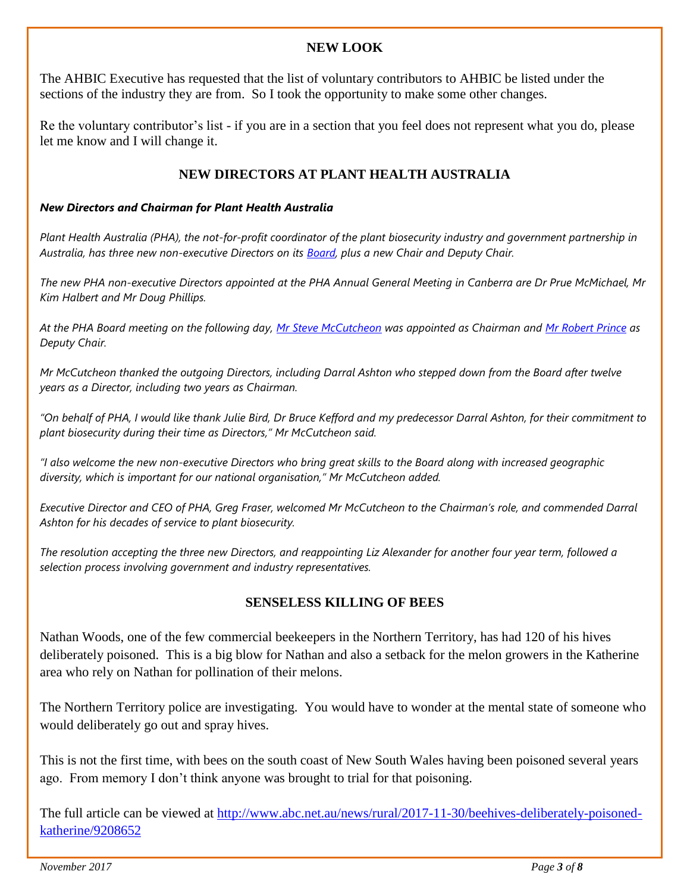### **NEW LOOK**

The AHBIC Executive has requested that the list of voluntary contributors to AHBIC be listed under the sections of the industry they are from. So I took the opportunity to make some other changes.

Re the voluntary contributor's list - if you are in a section that you feel does not represent what you do, please let me know and I will change it.

# **NEW DIRECTORS AT PLANT HEALTH AUSTRALIA**

#### *New Directors and Chairman for Plant Health Australia*

*Plant Health Australia (PHA), the not-for-profit coordinator of the plant biosecurity industry and government partnership in Australia, has three new non-executive Directors on its [Board,](http://www.planthealthaustralia.com.au/about-us/our-people/our-board/) plus a new Chair and Deputy Chair.*

*The new PHA non-executive Directors appointed at the PHA Annual General Meeting in Canberra are Dr Prue McMichael, Mr Kim Halbert and Mr Doug Phillips.*

*At the PHA Board meeting on the following day, [Mr Steve McCutcheon](http://www.planthealthaustralia.com.au/about-us/our-people/our-board/steve-mccutcheon/) was appointed as Chairman and [Mr Robert Prince](http://www.planthealthaustralia.com.au/about-us/our-people/our-board/robert-prince/) as Deputy Chair.*

*Mr McCutcheon thanked the outgoing Directors, including Darral Ashton who stepped down from the Board after twelve years as a Director, including two years as Chairman.*

*"On behalf of PHA, I would like thank Julie Bird, Dr Bruce Kefford and my predecessor Darral Ashton, for their commitment to plant biosecurity during their time as Directors," Mr McCutcheon said.*

*"I also welcome the new non-executive Directors who bring great skills to the Board along with increased geographic diversity, which is important for our national organisation," Mr McCutcheon added.*

*Executive Director and CEO of PHA, Greg Fraser, welcomed Mr McCutcheon to the Chairman's role, and commended Darral Ashton for his decades of service to plant biosecurity.*

*The resolution accepting the three new Directors, and reappointing Liz Alexander for another four year term, followed a selection process involving government and industry representatives.*

### **SENSELESS KILLING OF BEES**

Nathan Woods, one of the few commercial beekeepers in the Northern Territory, has had 120 of his hives deliberately poisoned. This is a big blow for Nathan and also a setback for the melon growers in the Katherine area who rely on Nathan for pollination of their melons.

The Northern Territory police are investigating. You would have to wonder at the mental state of someone who would deliberately go out and spray hives.

This is not the first time, with bees on the south coast of New South Wales having been poisoned several years ago. From memory I don't think anyone was brought to trial for that poisoning.

The full article can be viewed at [http://www.abc.net.au/news/rural/2017-11-30/beehives-deliberately-poisoned](http://www.abc.net.au/news/rural/2017-11-30/beehives-deliberately-poisoned-katherine/9208652)[katherine/9208652](http://www.abc.net.au/news/rural/2017-11-30/beehives-deliberately-poisoned-katherine/9208652)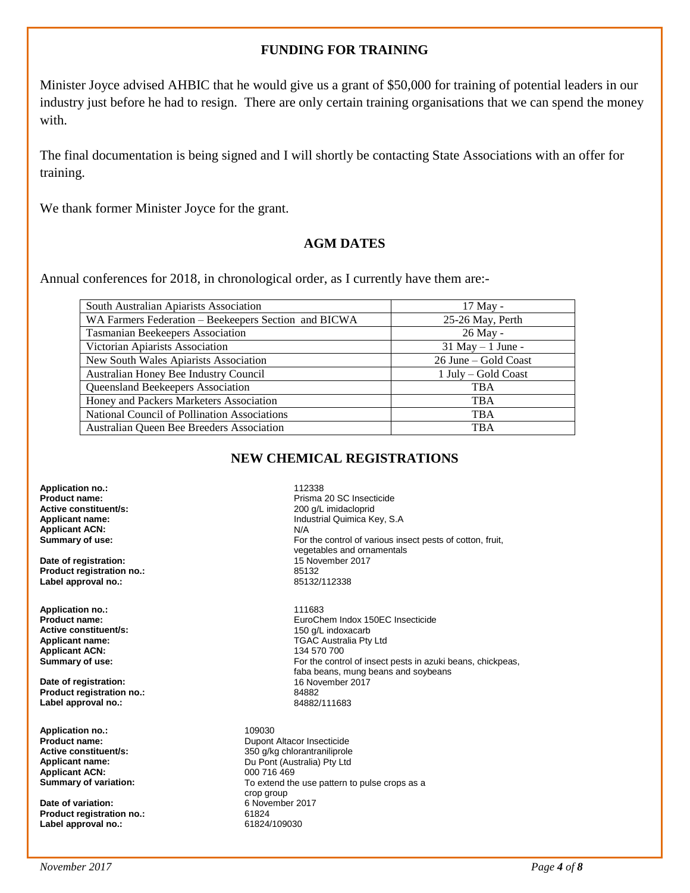#### **FUNDING FOR TRAINING**

Minister Joyce advised AHBIC that he would give us a grant of \$50,000 for training of potential leaders in our industry just before he had to resign. There are only certain training organisations that we can spend the money with.

The final documentation is being signed and I will shortly be contacting State Associations with an offer for training.

We thank former Minister Joyce for the grant.

#### **AGM DATES**

Annual conferences for 2018, in chronological order, as I currently have them are:-

| South Australian Apiarists Association               | 17 May -             |
|------------------------------------------------------|----------------------|
| WA Farmers Federation - Beekeepers Section and BICWA | 25-26 May, Perth     |
| <b>Tasmanian Beekeepers Association</b>              | 26 May -             |
| Victorian Apiarists Association                      | $31$ May $-1$ June - |
| New South Wales Apiarists Association                | 26 June – Gold Coast |
| Australian Honey Bee Industry Council                | 1 July – Gold Coast  |
| Queensland Beekeepers Association                    | <b>TBA</b>           |
| Honey and Packers Marketers Association              | <b>TBA</b>           |
| National Council of Pollination Associations         | <b>TBA</b>           |
| Australian Queen Bee Breeders Association            | <b>TBA</b>           |

### **NEW CHEMICAL REGISTRATIONS**

**Application no.:** 112338 **Active constituent/s:**<br>Applicant name: **Applicant ACN:**<br>Summary of use:

**Date of registration:** 15 November 2017 **Product registration no.:** 85132 **Label approval no.:** 

**Application no.:** 111683 **Active constituent/s:** <br> **Applicant name:** <br> **Applicant name:** <br> **Applicant name:** <br> **Applicant name:** <br> **Applicant name:** <br> **Applicant name:** <br> **Applicant name:** <br> **Applicant name:** <br> **Applicant name:** <br> **Applicant name: Applicant ACN:**<br>Summary of use:

**Date of registration: Product registration no.:** 84882 Label approval no.:

**Application no.:** 109030<br> **Product name:** Dupont **Applicant ACN:** 000 716 469<br> **Summary of variation:** To extend the

**Date of variation:** 6 November 2017 **Product registration no.:** 61824<br> **Label approval no.:** 61824/109030 **Label approval no.:** 

Prisma 20 SC Insecticide<br>200 q/L imidacloprid **Industrial Quimica Key, S.A**<br>N/A For the control of various insect pests of cotton, fruit, vegetables and ornamentals<br>15 November 2017

**Product name:** EuroChem Indox 150EC Insecticide TGAC Australia Pty Ltd<br>134 570 700 For the control of insect pests in azuki beans, chickpeas, faba beans, mung beans and soybeans<br>16 November 2017

**Product name:**<br> **Active constituent/s:**<br> **Active constituent/s:**<br> **Dupont Altacor Insecticide Active constituent/s:**<br> **B** 350 g/kg chlorantraniliprole **Active constituent/s:**  $\begin{array}{ccc}\n & 350 \frac{g}{kg}$  chlorantraniliprole<br> **Applicant name:** Du Pont (Australia) Pty Ltd **Du Pont (Australia) Pty Ltd** To extend the use pattern to pulse crops as a crop group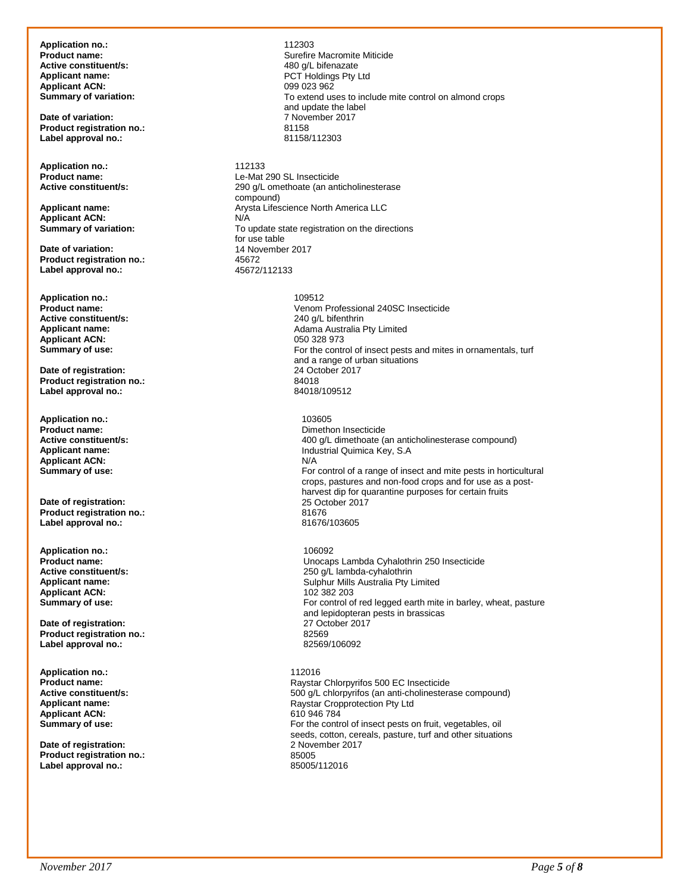**Application no.:** 112303 **Active constituent/s:**<br>**Applicant name:** Applicant ACN:<br> **Summary of variation:** 

**Date of variation:** 7 November 2017 **Product registration no.:** 81158 **Label approval no.:** 

**Application no.:** 2012/12133<br> **Product name:** 2012/12/12 Le-Mat

**Applicant ACN:**<br> **Summary of variation:** 

**Date of variation: 14 November 2017**<br> **Product registration no:** 45672 **Product registration no.:** 45672<br>
Label approval no.: 45672/112133 Label approval no.:

**Application no.:** 109512 **Active constituent/s:**<br>Applicant name: **Applicant ACN:**<br>Summary of use:

**Date of registration:** 24 October 24 October 2018<br> **Product registration no.:** 24018 **Product registration no.:** 84018 **Label approval no.:** 

**Application no.:** 103605 **Product name:**<br> **Product name:**<br> **Active constituent/s:**<br> **Active constituent/s:**<br> **Dimethon Insection Insection ACT Applicant ACN:**<br>Summary of use:

**Date of registration:** 25 October 2018<br> **Product registration no.:** 21676 Product registration no.:<br>
Label approval no.:<br>
81676/103605 Label approval no.:

**Application no.:** 106092 **Applicant ACN:**<br>Summary of use:

**Date of registration:**  27 October 2017 02:<br> **Product registration no.:** 2569 **Product registration no.: Label approval no.:** 82569/106092

**Application no.: 112016**<br>**Product name: 112016 Raystan Applicant ACN:** 610 946 784<br> **Summary of use:** For the control

**Date of registration: Product registration no.:** 85005 **Label approval no.:** 

Surefire Macromite Miticide<br>480 a/L bifenazate PCT Holdings Pty Ltd<br>099 023 962 To extend uses to include mite control on almond crops and update the label

**Product name:**<br> **Active constituent/s:**<br> **Active constituent/s:**<br> **Active constituent/s:**<br> **CONS** 290 q/L omethoate (an ant 290 g/L omethoate (an anticholinesterase compound) **Applicant name: Arysta Lifescience North America LLC**<br> **Applicant ACN: Applicant ACN: AND** To update state registration on the directions for use table

> Venom Professional 240SC Insecticide<br>240 g/L bifenthrin Adama Australia Pty Limited<br>050 328 973 For the control of insect pests and mites in ornamentals, turf and a range of urban situations<br>24 October 2017

**Active constituent/s:** <br>**400 g/L dimethoate (an anticholinesterase compound)**<br>Industrial Quimica Kev. S.A **Industrial Quimica Key, S.A**<br>N/A For control of a range of insect and mite pests in horticultural crops, pastures and non-food crops and for use as a postharvest dip for quarantine purposes for certain fruits<br>25 October 2017

**Product name:** Unocaps Lambda Cyhalothrin 250 Insecticide 250 g/L lambda-cyhalothrin **Applicant name: Applicant name: Applicant ACN: Applicant ACN: Applicant ACN: Applicant ACN: Applicant ACN: Applicant ACN: Applicant ACN: Applicant ACN: Applicant ACN: Applicant ACN: Applicant ACN:** For control of red legged earth mite in barley, wheat, pasture and lepidopteran pests in brassicas

**Product name: Product name: Raystar Chlorpyrifos 500 EC Insecticide**<br> **Active constituent/s: Raystar Chlorpyrifos (an anti-cholinesteral distribution of the S00 q/L chlorpyrifos (an anti-cholinesteral Active constituent/s:** <br>**Applicant name:** <br>**Applicant name:** <br>**Applicant name:** <br>**Raystar Cropprotection Pty Ltd Applicant name:** Raystar Cropprotection Pty Ltd For the control of insect pests on fruit, vegetables, oil seeds, cotton, cereals, pasture, turf and other situations<br>2 November 2017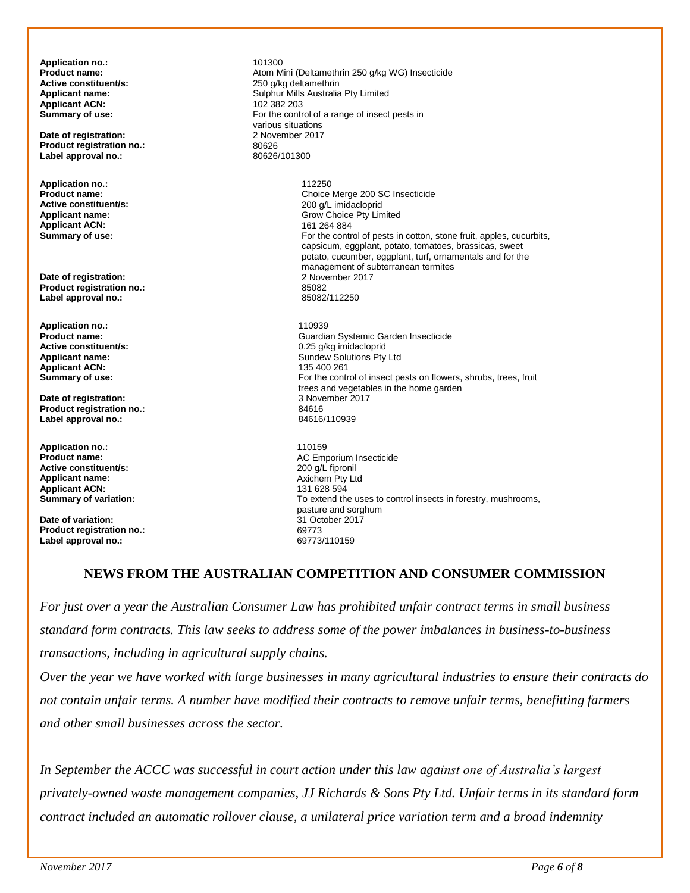**Application no.:** 101300<br>**Product name:** 101300 **Active constituent/s: Applicant ACN:**<br>Summary of use:

**Date of registration:** 2 November 2017<br> **Product registration no.:** 200626 **Product registration no.:** 80626<br>
Label approval no.: 80626/101300 Label approval no.:

**Application no.:** 112250 **Active constituent/s:**<br>Applicant name: **Applicant ACN:**<br>Summary of use:

**Date of registration:** 2 November 2017 **Product registration no.:** 85082 Label approval no.:

**Application no.:** 110939 **Applicant ACN:**<br>Summary of use:

**Date of registration:** 3 November 2017<br> **Product registration no.:** 84616 **Product registration no.:** 84616 **Label approval no.:** 

**Application no.:** 110159 **Active constituent/s:**  $\begin{array}{ccc}\n\bullet & \bullet & \bullet & \bullet & \bullet \\
\bullet & \bullet & \bullet & \bullet & \bullet & \bullet \\
\bullet & \bullet & \bullet & \bullet & \bullet & \bullet \\
\bullet & \bullet & \bullet & \bullet & \bullet & \bullet\n\end{array}$ **Applicant name:** Axichem Pty Ltd **Applicant ACN:**<br>Summary of variation:

**Date of variation:** 31 October 2017 **Product registration no.: Label approval no.:** 69773/110159

Atom Mini (Deltamethrin 250 g/kg WG) Insecticide 250 g/kg deltamethrin **Applicant name: Applicant name:** Sulphur Mills Australia Pty Limited **Applicant ACN: Applicant ACN: Applicant ACN: Applicant ACN: Applicant ACN: Applicant ACN: Applicant ACN: Applicant ACN: Applicant ACN** For the control of a range of insect pests in various situations<br>2 November 2017

> **Choice Merge 200 SC Insecticide 200 g/L imidacloprid** Grow Choice Pty Limited<br>161 264 884 For the control of pests in cotton, stone fruit, apples, cucurbits, capsicum, eggplant, potato, tomatoes, brassicas, sweet potato, cucumber, eggplant, turf, ornamentals and for the management of subterranean termites<br>2 November 2017

**Product name: Product name: Guardian Systemic Garden Insecticide**<br> **Active constituent/s: Guardian Systemic Garden Insecticide**<br>
0.25 a/ka imidacloprid **Active constituent/s:** <br> **Applicant name:** <br> **Applicant name:** <br> **Applicant name:** <br> **CALC CONSTANT CONSTANT CONSTANT CONSTANT CONSTANT CONSTANT CONSTANT CONSTANT CONSTANT CONSTANT CONSTANT CONSTANT CONSTANT CONSTANT CONS** Sundew Solutions Pty Ltd<br>135 400 261 For the control of insect pests on flowers, shrubs, trees, fruit trees and vegetables in the home garden

**Product name: AC Emporium Insecticide**<br> **Active constituent/s: Active constituent/s: Active constituent/s: Active constituent/s: Active insection** To extend the uses to control insects in forestry, mushrooms, pasture and sorghum

## **NEWS FROM THE AUSTRALIAN COMPETITION AND CONSUMER COMMISSION**

*For just over a year the Australian Consumer Law has prohibited unfair contract terms in small business standard form contracts. This law seeks to address some of the power imbalances in business-to-business transactions, including in agricultural supply chains.*

*Over the year we have worked with large businesses in many agricultural industries to ensure their contracts do not contain unfair terms. A number have modified their contracts to remove unfair terms, benefitting farmers and other small businesses across the sector.*

*In September the ACCC was successful in court action under this law against one of Australia's largest privately-owned waste management companies, JJ Richards & Sons Pty Ltd. Unfair terms in its standard form contract included an automatic rollover clause, a unilateral price variation term and a broad indemnity*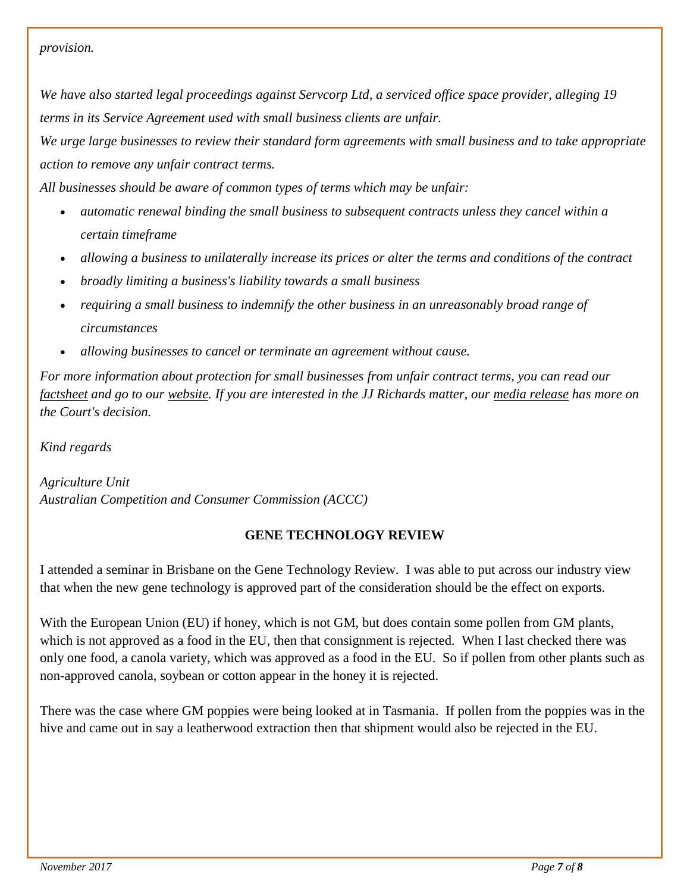#### *provision.*

*We have also started legal proceedings against Servcorp Ltd, a serviced office space provider, alleging 19 terms in its Service Agreement used with small business clients are unfair.*

*We urge large businesses to review their standard form agreements with small business and to take appropriate action to remove any unfair contract terms.*

*All businesses should be aware of common types of terms which may be unfair:*

- *automatic renewal binding the small business to subsequent contracts unless they cancel within a certain timeframe*
- *allowing a business to unilaterally increase its prices or alter the terms and conditions of the contract*
- *broadly limiting a business's liability towards a small business*
- *requiring a small business to indemnify the other business in an unreasonably broad range of circumstances*
- *allowing businesses to cancel or terminate an agreement without cause.*

*For more information about protection for small businesses from unfair contract terms, you can read our [factsheet](https://accc.us10.list-manage.com/track/click?u=2d4af35bb8308428c89cac9a4&id=5d30b80ae5&e=ab98e2e9c4) and go to our [website.](https://accc.us10.list-manage.com/track/click?u=2d4af35bb8308428c89cac9a4&id=4b9c185504&e=ab98e2e9c4) If you are interested in the JJ Richards matter, our [media release](https://accc.us10.list-manage.com/track/click?u=2d4af35bb8308428c89cac9a4&id=1a7b27ec08&e=ab98e2e9c4) has more on the Court's decision.*

*Kind regards*

*Agriculture Unit Australian Competition and Consumer Commission (ACCC)*

## **GENE TECHNOLOGY REVIEW**

I attended a seminar in Brisbane on the Gene Technology Review. I was able to put across our industry view that when the new gene technology is approved part of the consideration should be the effect on exports.

With the European Union (EU) if honey, which is not GM, but does contain some pollen from GM plants, which is not approved as a food in the EU, then that consignment is rejected. When I last checked there was only one food, a canola variety, which was approved as a food in the EU. So if pollen from other plants such as non-approved canola, soybean or cotton appear in the honey it is rejected.

There was the case where GM poppies were being looked at in Tasmania. If pollen from the poppies was in the hive and came out in say a leatherwood extraction then that shipment would also be rejected in the EU.